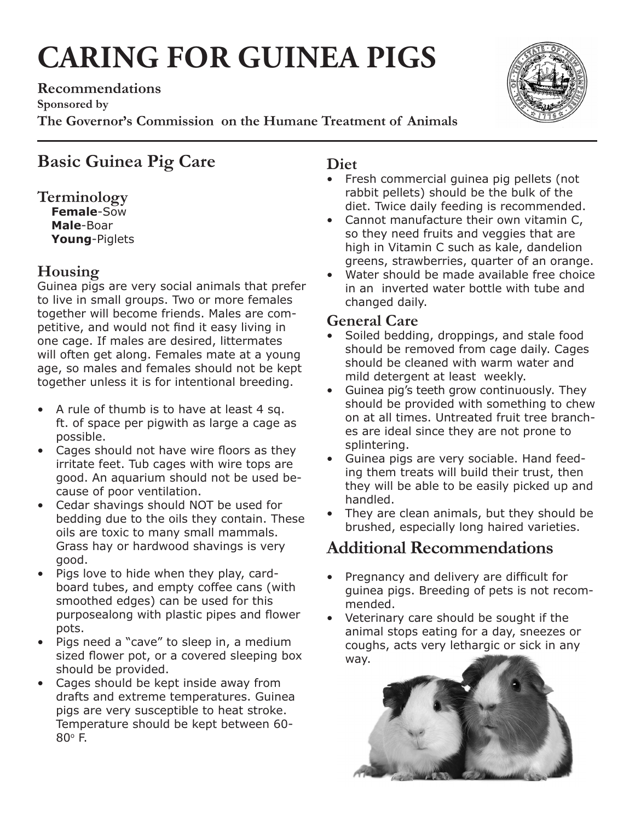# **CARING FOR GUINEA PIGS**

**Recommendations Sponsored by The Governor's Commission on the Humane Treatment of Animals**



# **Terminology**

**Female**-Sow **Male**-Boar **Young**-Piglets

## **Housing**

Guinea pigs are very social animals that prefer to live in small groups. Two or more females together will become friends. Males are competitive, and would not find it easy living in one cage. If males are desired, littermates will often get along. Females mate at a young age, so males and females should not be kept together unless it is for intentional breeding.

- A rule of thumb is to have at least 4 sq. ft. of space per pigwith as large a cage as possible.
- Cages should not have wire floors as they irritate feet. Tub cages with wire tops are good. An aquarium should not be used because of poor ventilation.
- Cedar shavings should NOT be used for bedding due to the oils they contain. These oils are toxic to many small mammals. Grass hay or hardwood shavings is very good.
- Pigs love to hide when they play, cardboard tubes, and empty coffee cans (with smoothed edges) can be used for this purposealong with plastic pipes and flower pots.
- Pigs need a "cave" to sleep in, a medium sized flower pot, or a covered sleeping box should be provided.
- Cages should be kept inside away from drafts and extreme temperatures. Guinea pigs are very susceptible to heat stroke. Temperature should be kept between 60-  $80^\circ$  F.

## **Diet**

- Fresh commercial guinea pig pellets (not rabbit pellets) should be the bulk of the diet. Twice daily feeding is recommended.
- Cannot manufacture their own vitamin C, so they need fruits and veggies that are high in Vitamin C such as kale, dandelion greens, strawberries, quarter of an orange.
- Water should be made available free choice in an inverted water bottle with tube and changed daily.

## **General Care**

- Soiled bedding, droppings, and stale food should be removed from cage daily. Cages should be cleaned with warm water and mild detergent at least weekly.
- Guinea pig's teeth grow continuously. They should be provided with something to chew on at all times. Untreated fruit tree branches are ideal since they are not prone to splintering.
- Guinea pigs are very sociable. Hand feeding them treats will build their trust, then they will be able to be easily picked up and handled.
- They are clean animals, but they should be brushed, especially long haired varieties.

# **Additional Recommendations**

- Pregnancy and delivery are difficult for guinea pigs. Breeding of pets is not recommended.
- Veterinary care should be sought if the animal stops eating for a day, sneezes or coughs, acts very lethargic or sick in any way.